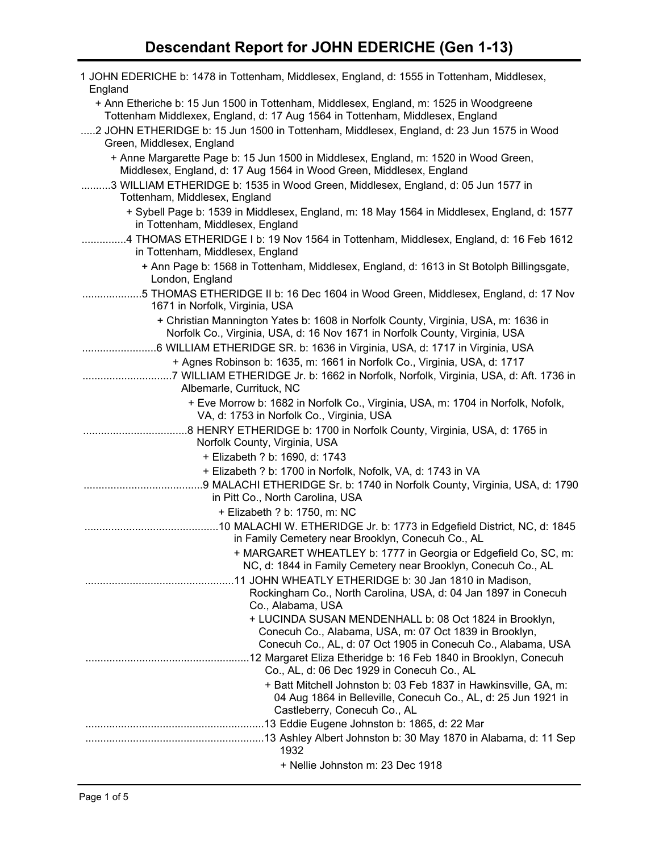| 1 JOHN EDERICHE b: 1478 in Tottenham, Middlesex, England, d: 1555 in Tottenham, Middlesex,<br>England                                                                   |
|-------------------------------------------------------------------------------------------------------------------------------------------------------------------------|
| + Ann Etheriche b: 15 Jun 1500 in Tottenham, Middlesex, England, m: 1525 in Woodgreene<br>Tottenham Middlexex, England, d: 17 Aug 1564 in Tottenham, Middlesex, England |
| 2 JOHN ETHERIDGE b: 15 Jun 1500 in Tottenham, Middlesex, England, d: 23 Jun 1575 in Wood<br>Green, Middlesex, England                                                   |
| + Anne Margarette Page b: 15 Jun 1500 in Middlesex, England, m: 1520 in Wood Green,<br>Middlesex, England, d: 17 Aug 1564 in Wood Green, Middlesex, England             |
| 3 WILLIAM ETHERIDGE b: 1535 in Wood Green, Middlesex, England, d: 05 Jun 1577 in<br>Tottenham, Middlesex, England                                                       |
| + Sybell Page b: 1539 in Middlesex, England, m: 18 May 1564 in Middlesex, England, d: 1577<br>in Tottenham, Middlesex, England                                          |
| 4 THOMAS ETHERIDGE I b: 19 Nov 1564 in Tottenham, Middlesex, England, d: 16 Feb 1612<br>in Tottenham, Middlesex, England                                                |
| + Ann Page b: 1568 in Tottenham, Middlesex, England, d: 1613 in St Botolph Billingsgate,<br>London, England                                                             |
| 5 THOMAS ETHERIDGE II b: 16 Dec 1604 in Wood Green, Middlesex, England, d: 17 Nov<br>1671 in Norfolk, Virginia, USA                                                     |
| + Christian Mannington Yates b: 1608 in Norfolk County, Virginia, USA, m: 1636 in<br>Norfolk Co., Virginia, USA, d: 16 Nov 1671 in Norfolk County, Virginia, USA        |
| 6 WILLIAM ETHERIDGE SR. b: 1636 in Virginia, USA, d: 1717 in Virginia, USA<br>+ Agnes Robinson b: 1635, m: 1661 in Norfolk Co., Virginia, USA, d: 1717                  |
| 7 WILLIAM ETHERIDGE Jr. b: 1662 in Norfolk, Norfolk, Virginia, USA, d: Aft. 1736 in<br>Albemarle, Currituck, NC                                                         |
| + Eve Morrow b: 1682 in Norfolk Co., Virginia, USA, m: 1704 in Norfolk, Nofolk,<br>VA, d: 1753 in Norfolk Co., Virginia, USA                                            |
| Norfolk County, Virginia, USA                                                                                                                                           |
| + Elizabeth ? b: 1690, d: 1743                                                                                                                                          |
| + Elizabeth ? b: 1700 in Norfolk, Nofolk, VA, d: 1743 in VA                                                                                                             |
| 9 MALACHI ETHERIDGE Sr. b: 1740 in Norfolk County, Virginia, USA, d: 1790<br>in Pitt Co., North Carolina, USA<br>+ Elizabeth ? b: 1750, m: NC                           |
|                                                                                                                                                                         |
| in Family Cemetery near Brooklyn, Conecuh Co., AL                                                                                                                       |
| + MARGARET WHEATLEY b: 1777 in Georgia or Edgefield Co, SC, m:<br>NC, d: 1844 in Family Cemetery near Brooklyn, Conecuh Co., AL                                         |
| Rockingham Co., North Carolina, USA, d: 04 Jan 1897 in Conecuh<br>Co., Alabama, USA                                                                                     |
| + LUCINDA SUSAN MENDENHALL b: 08 Oct 1824 in Brooklyn,                                                                                                                  |
| Conecuh Co., Alabama, USA, m: 07 Oct 1839 in Brooklyn,<br>Conecuh Co., AL, d: 07 Oct 1905 in Conecuh Co., Alabama, USA                                                  |
| Co., AL, d: 06 Dec 1929 in Conecuh Co., AL                                                                                                                              |
| + Batt Mitchell Johnston b: 03 Feb 1837 in Hawkinsville, GA, m:<br>04 Aug 1864 in Belleville, Conecuh Co., AL, d: 25 Jun 1921 in<br>Castleberry, Conecuh Co., AL        |
|                                                                                                                                                                         |
|                                                                                                                                                                         |
| 1932                                                                                                                                                                    |
| + Nellie Johnston m: 23 Dec 1918                                                                                                                                        |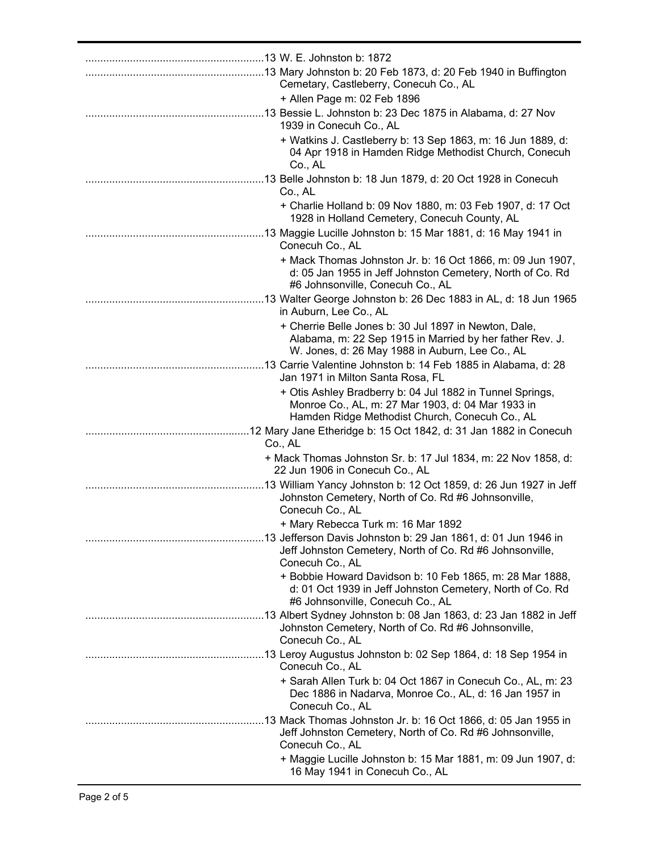| Cemetary, Castleberry, Conecuh Co., AL                                                                                                                               |
|----------------------------------------------------------------------------------------------------------------------------------------------------------------------|
| + Allen Page m: 02 Feb 1896                                                                                                                                          |
| 13 Bessie L. Johnston b: 23 Dec 1875 in Alabama, d: 27 Nov<br>1939 in Conecuh Co., AL                                                                                |
| + Watkins J. Castleberry b: 13 Sep 1863, m: 16 Jun 1889, d:<br>04 Apr 1918 in Hamden Ridge Methodist Church, Conecuh<br>Co., AL                                      |
| Co., AL                                                                                                                                                              |
| + Charlie Holland b: 09 Nov 1880, m: 03 Feb 1907, d: 17 Oct<br>1928 in Holland Cemetery, Conecuh County, AL                                                          |
| Conecuh Co., AL                                                                                                                                                      |
| + Mack Thomas Johnston Jr. b: 16 Oct 1866, m: 09 Jun 1907,<br>d: 05 Jan 1955 in Jeff Johnston Cemetery, North of Co. Rd<br>#6 Johnsonville, Conecuh Co., AL          |
| in Auburn, Lee Co., AL                                                                                                                                               |
| + Cherrie Belle Jones b: 30 Jul 1897 in Newton, Dale,<br>Alabama, m: 22 Sep 1915 in Married by her father Rev. J.<br>W. Jones, d: 26 May 1988 in Auburn, Lee Co., AL |
| .13 Carrie Valentine Johnston b: 14 Feb 1885 in Alabama, d: 28<br>Jan 1971 in Milton Santa Rosa, FL                                                                  |
| + Otis Ashley Bradberry b: 04 Jul 1882 in Tunnel Springs,<br>Monroe Co., AL, m: 27 Mar 1903, d: 04 Mar 1933 in<br>Hamden Ridge Methodist Church, Conecuh Co., AL     |
| Co., AL                                                                                                                                                              |
| + Mack Thomas Johnston Sr. b: 17 Jul 1834, m: 22 Nov 1858, d:<br>22 Jun 1906 in Conecuh Co., AL                                                                      |
| 13 William Yancy Johnston b: 12 Oct 1859, d: 26 Jun 1927 in Jeff<br>Johnston Cemetery, North of Co. Rd #6 Johnsonville,<br>Conecuh Co., AL                           |
| + Mary Rebecca Turk m: 16 Mar 1892                                                                                                                                   |
| Jeff Johnston Cemetery, North of Co. Rd #6 Johnsonville,<br>Conecuh Co., AL                                                                                          |
| + Bobbie Howard Davidson b: 10 Feb 1865, m: 28 Mar 1888,<br>d: 01 Oct 1939 in Jeff Johnston Cemetery, North of Co. Rd<br>#6 Johnsonville, Conecuh Co., AL            |
| Johnston Cemetery, North of Co. Rd #6 Johnsonville,<br>Conecuh Co., AL                                                                                               |
| Conecuh Co., AL                                                                                                                                                      |
| + Sarah Allen Turk b: 04 Oct 1867 in Conecuh Co., AL, m: 23<br>Dec 1886 in Nadarva, Monroe Co., AL, d: 16 Jan 1957 in<br>Conecuh Co., AL                             |
| Jeff Johnston Cemetery, North of Co. Rd #6 Johnsonville,                                                                                                             |
| Conecuh Co., AL<br>+ Maggie Lucille Johnston b: 15 Mar 1881, m: 09 Jun 1907, d:<br>16 May 1941 in Conecuh Co., AL                                                    |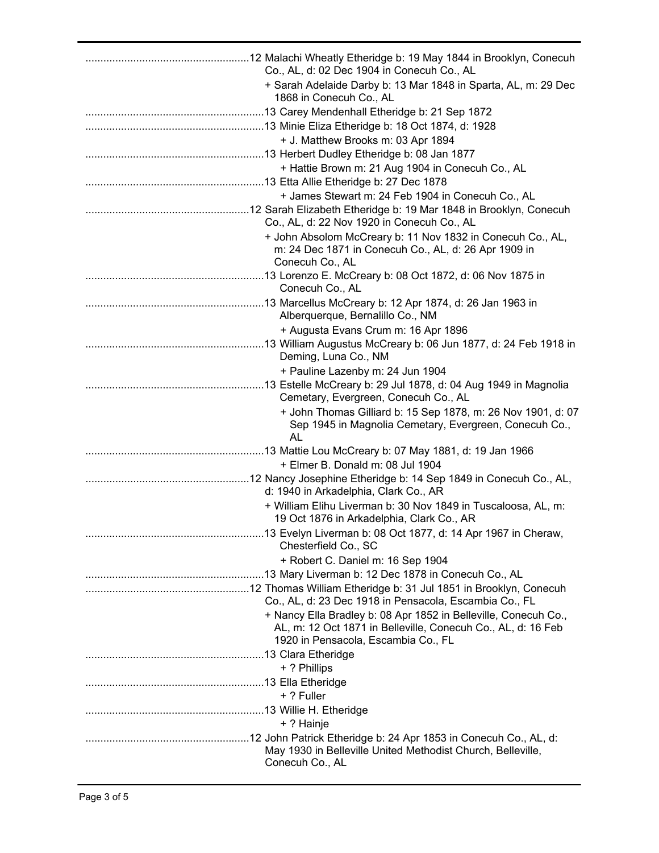| Co., AL, d: 02 Dec 1904 in Conecuh Co., AL                                                                                            |
|---------------------------------------------------------------------------------------------------------------------------------------|
| + Sarah Adelaide Darby b: 13 Mar 1848 in Sparta, AL, m: 29 Dec<br>1868 in Conecuh Co., AL                                             |
|                                                                                                                                       |
|                                                                                                                                       |
| + J. Matthew Brooks m: 03 Apr 1894                                                                                                    |
|                                                                                                                                       |
| + Hattie Brown m: 21 Aug 1904 in Conecuh Co., AL                                                                                      |
|                                                                                                                                       |
| + James Stewart m: 24 Feb 1904 in Conecuh Co., AL                                                                                     |
| Co., AL, d: 22 Nov 1920 in Conecuh Co., AL                                                                                            |
| + John Absolom McCreary b: 11 Nov 1832 in Conecuh Co., AL,<br>m: 24 Dec 1871 in Conecuh Co., AL, d: 26 Apr 1909 in<br>Conecuh Co., AL |
|                                                                                                                                       |
| Conecuh Co., AL                                                                                                                       |
| Alberquerque, Bernalillo Co., NM                                                                                                      |
| + Augusta Evans Crum m: 16 Apr 1896                                                                                                   |
| Deming, Luna Co., NM                                                                                                                  |
| + Pauline Lazenby m: 24 Jun 1904                                                                                                      |
| 13 Estelle McCreary b: 29 Jul 1878, d: 04 Aug 1949 in Magnolia<br>Cemetary, Evergreen, Conecuh Co., AL                                |
| + John Thomas Gilliard b: 15 Sep 1878, m: 26 Nov 1901, d: 07<br>Sep 1945 in Magnolia Cemetary, Evergreen, Conecuh Co.,<br>AL          |
|                                                                                                                                       |
| + Elmer B. Donald m: 08 Jul 1904                                                                                                      |
| d: 1940 in Arkadelphia, Clark Co., AR                                                                                                 |
| + William Elihu Liverman b: 30 Nov 1849 in Tuscaloosa, AL, m:<br>19 Oct 1876 in Arkadelphia, Clark Co., AR                            |
| Chesterfield Co., SC                                                                                                                  |
| + Robert C. Daniel m: 16 Sep 1904                                                                                                     |
|                                                                                                                                       |
|                                                                                                                                       |
| Co., AL, d: 23 Dec 1918 in Pensacola, Escambia Co., FL                                                                                |
| + Nancy Ella Bradley b: 08 Apr 1852 in Belleville, Conecuh Co.,<br>AL, m: 12 Oct 1871 in Belleville, Conecuh Co., AL, d: 16 Feb       |
| 1920 in Pensacola, Escambia Co., FL                                                                                                   |
|                                                                                                                                       |
| + ? Phillips                                                                                                                          |
| + ? Fuller                                                                                                                            |
|                                                                                                                                       |
| + ? Hainje                                                                                                                            |
| May 1930 in Belleville United Methodist Church, Belleville,                                                                           |
| Conecuh Co., AL                                                                                                                       |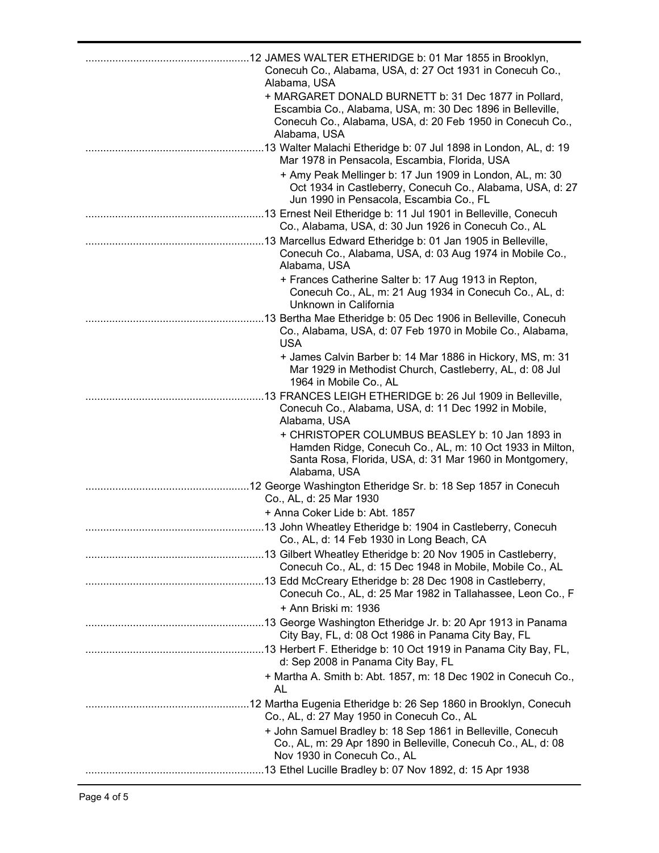| Conecuh Co., Alabama, USA, d: 27 Oct 1931 in Conecuh Co.,<br>Alabama, USA                                                                                                                      |
|------------------------------------------------------------------------------------------------------------------------------------------------------------------------------------------------|
| + MARGARET DONALD BURNETT b: 31 Dec 1877 in Pollard,<br>Escambia Co., Alabama, USA, m: 30 Dec 1896 in Belleville,<br>Conecuh Co., Alabama, USA, d: 20 Feb 1950 in Conecuh Co.,<br>Alabama, USA |
| .13 Walter Malachi Etheridge b: 07 Jul 1898 in London, AL, d: 19<br>Mar 1978 in Pensacola, Escambia, Florida, USA                                                                              |
| + Amy Peak Mellinger b: 17 Jun 1909 in London, AL, m: 30<br>Oct 1934 in Castleberry, Conecuh Co., Alabama, USA, d: 27<br>Jun 1990 in Pensacola, Escambia Co., FL                               |
| Co., Alabama, USA, d: 30 Jun 1926 in Conecuh Co., AL                                                                                                                                           |
| Conecuh Co., Alabama, USA, d: 03 Aug 1974 in Mobile Co.,<br>Alabama, USA                                                                                                                       |
| + Frances Catherine Salter b: 17 Aug 1913 in Repton,<br>Conecuh Co., AL, m: 21 Aug 1934 in Conecuh Co., AL, d:<br>Unknown in California                                                        |
| Co., Alabama, USA, d: 07 Feb 1970 in Mobile Co., Alabama,<br><b>USA</b>                                                                                                                        |
| + James Calvin Barber b: 14 Mar 1886 in Hickory, MS, m: 31<br>Mar 1929 in Methodist Church, Castleberry, AL, d: 08 Jul<br>1964 in Mobile Co., AL                                               |
| 13 FRANCES LEIGH ETHERIDGE b: 26 Jul 1909 in Belleville,<br>Conecuh Co., Alabama, USA, d: 11 Dec 1992 in Mobile,<br>Alabama, USA                                                               |
| + CHRISTOPER COLUMBUS BEASLEY b: 10 Jan 1893 in<br>Hamden Ridge, Conecuh Co., AL, m: 10 Oct 1933 in Milton,<br>Santa Rosa, Florida, USA, d: 31 Mar 1960 in Montgomery,<br>Alabama, USA         |
| Co., AL, d: 25 Mar 1930                                                                                                                                                                        |
| + Anna Coker Lide b: Abt. 1857                                                                                                                                                                 |
| 13 John Wheatley Etheridge b: 1904 in Castleberry, Conecuh<br>Co., AL, d: 14 Feb 1930 in Long Beach, CA                                                                                        |
| Conecuh Co., AL, d: 15 Dec 1948 in Mobile, Mobile Co., AL                                                                                                                                      |
| Conecuh Co., AL, d: 25 Mar 1982 in Tallahassee, Leon Co., F                                                                                                                                    |
| + Ann Briski m: 1936                                                                                                                                                                           |
| City Bay, FL, d: 08 Oct 1986 in Panama City Bay, FL                                                                                                                                            |
| d: Sep 2008 in Panama City Bay, FL                                                                                                                                                             |
| + Martha A. Smith b: Abt. 1857, m: 18 Dec 1902 in Conecuh Co.,<br>AL                                                                                                                           |
| Co., AL, d: 27 May 1950 in Conecuh Co., AL                                                                                                                                                     |
| + John Samuel Bradley b: 18 Sep 1861 in Belleville, Conecuh<br>Co., AL, m: 29 Apr 1890 in Belleville, Conecuh Co., AL, d: 08<br>Nov 1930 in Conecuh Co., AL                                    |
|                                                                                                                                                                                                |